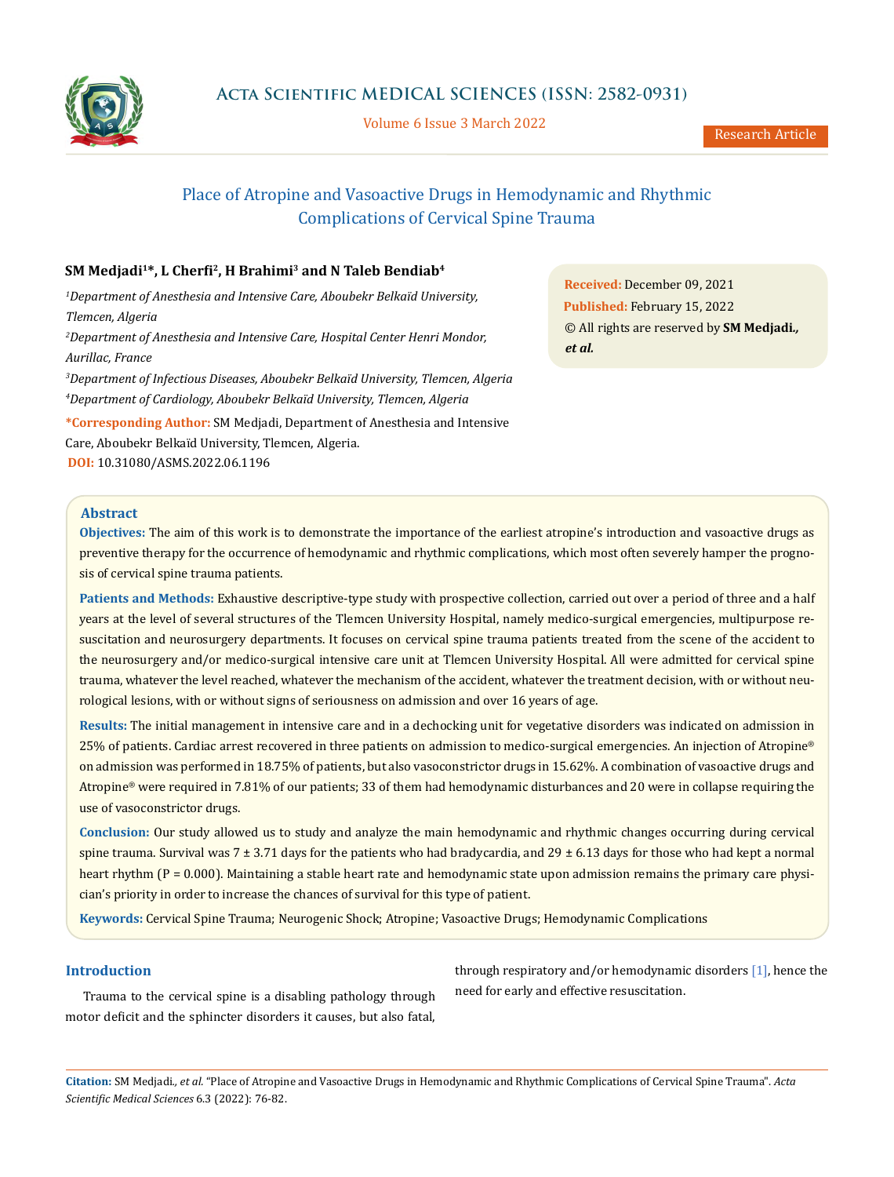

Volume 6 Issue 3 March 2022

# Place of Atropine and Vasoactive Drugs in Hemodynamic and Rhythmic Complications of Cervical Spine Trauma

## **SM Medjadi1\*, L Cherfi2, H Brahimi3 and N Taleb Bendiab4**

*1 Department of Anesthesia and Intensive Care, Aboubekr Belkaïd University, Tlemcen, Algeria 2 Department of Anesthesia and Intensive Care, Hospital Center Henri Mondor, Aurillac, France 3 Department of Infectious Diseases, Aboubekr Belkaïd University, Tlemcen, Algeria 4 Department of Cardiology, Aboubekr Belkaïd University, Tlemcen, Algeria* **\*Corresponding Author:** SM Medjadi, Department of Anesthesia and Intensive Care, Aboubekr Belkaïd University, Tlemcen, Algeria.

**DOI:** [10.31080/ASMS.2022.06.1196](https://actascientific.com/ASMS/pdf/ASMS-06-1196.pdf)

**Received:** December 09, 2021 **Published:** February 15, 2022 © All rights are reserved by **SM Medjadi***., et al.* 

## **Abstract**

**Objectives:** The aim of this work is to demonstrate the importance of the earliest atropine's introduction and vasoactive drugs as preventive therapy for the occurrence of hemodynamic and rhythmic complications, which most often severely hamper the prognosis of cervical spine trauma patients.

**Patients and Methods:** Exhaustive descriptive-type study with prospective collection, carried out over a period of three and a half years at the level of several structures of the Tlemcen University Hospital, namely medico-surgical emergencies, multipurpose resuscitation and neurosurgery departments. It focuses on cervical spine trauma patients treated from the scene of the accident to the neurosurgery and/or medico-surgical intensive care unit at Tlemcen University Hospital. All were admitted for cervical spine trauma, whatever the level reached, whatever the mechanism of the accident, whatever the treatment decision, with or without neurological lesions, with or without signs of seriousness on admission and over 16 years of age.

**Results:** The initial management in intensive care and in a dechocking unit for vegetative disorders was indicated on admission in 25% of patients. Cardiac arrest recovered in three patients on admission to medico-surgical emergencies. An injection of Atropine® on admission was performed in 18.75% of patients, but also vasoconstrictor drugs in 15.62%. A combination of vasoactive drugs and Atropine® were required in 7.81% of our patients; 33 of them had hemodynamic disturbances and 20 were in collapse requiring the use of vasoconstrictor drugs.

**Conclusion:** Our study allowed us to study and analyze the main hemodynamic and rhythmic changes occurring during cervical spine trauma. Survival was 7  $\pm$  3.71 days for the patients who had bradycardia, and 29  $\pm$  6.13 days for those who had kept a normal heart rhythm (P = 0.000). Maintaining a stable heart rate and hemodynamic state upon admission remains the primary care physician's priority in order to increase the chances of survival for this type of patient.

**Keywords:** Cervical Spine Trauma; Neurogenic Shock; Atropine; Vasoactive Drugs; Hemodynamic Complications

## **Introduction**

Trauma to the cervical spine is a disabling pathology through motor deficit and the sphincter disorders it causes, but also fatal, through respiratory and/or hemodynamic disorders [1], hence the need for early and effective resuscitation.

**Citation:** SM Medjadi*., et al.* "Place of Atropine and Vasoactive Drugs in Hemodynamic and Rhythmic Complications of Cervical Spine Trauma". *Acta Scientific Medical Sciences* 6.3 (2022): 76-82.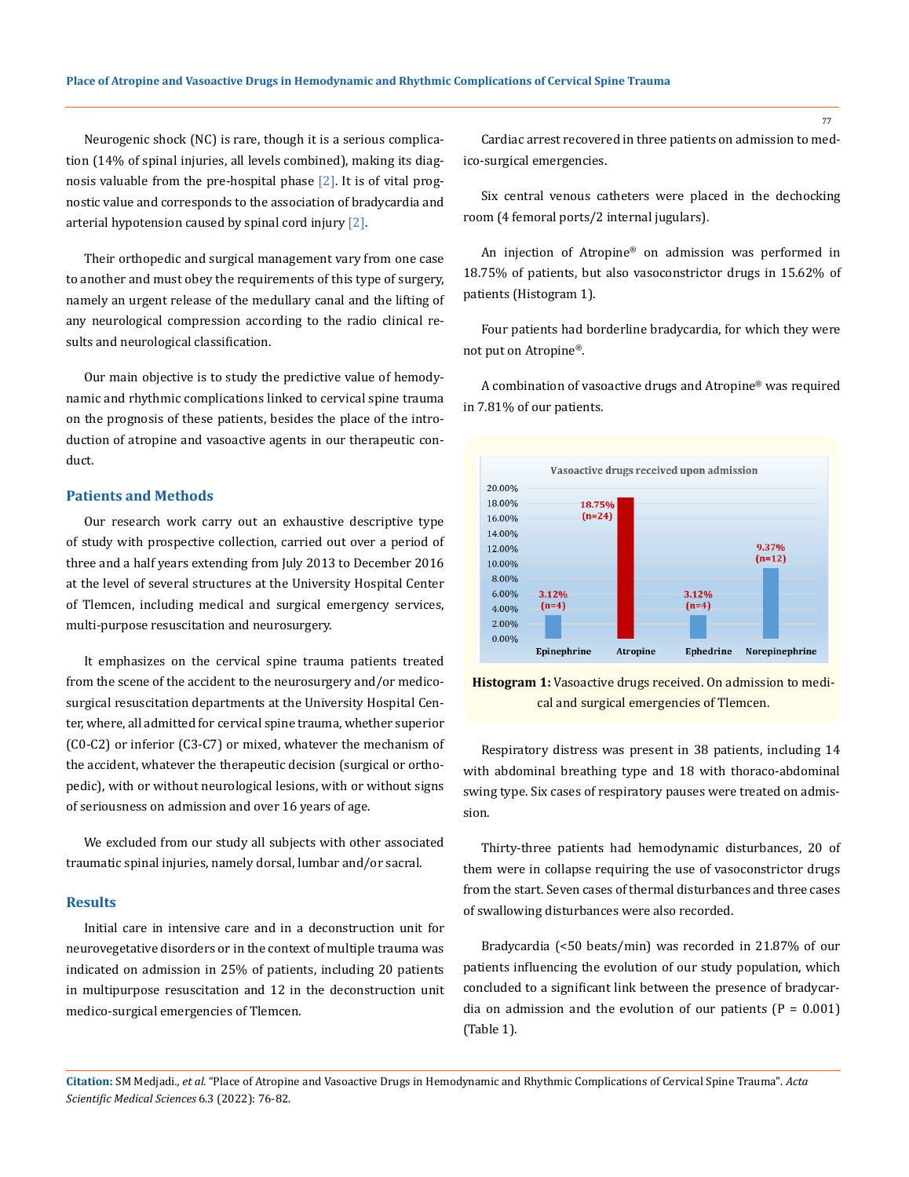Neurogenic shock (NC) is rare, though it is a serious complication (14% of spinal injuries, all levels combined), making its diagnosis valuable from the pre-hospital phase  $[2]$ . It is of vital prognostic value and corresponds to the association of bradycardia and arterial hypotension caused by spinal cord injury [2].

Their orthopedic and surgical management vary from one case to another and must obey the requirements of this type of surgery, namely an urgent release of the medullary canal and the lifting of any neurological compression according to the radio clinical results and neurological classification.

Our main objective is to study the predictive value of hemodynamic and rhythmic complications linked to cervical spine trauma on the prognosis of these patients, besides the place of the introduction of atropine and vasoactive agents in our therapeutic conduct.

#### **Patients and Methods**

Our research work carry out an exhaustive descriptive type of study with prospective collection, carried out over a period of three and a half years extending from July 2013 to December 2016 at the level of several structures at the University Hospital Center of Tlemcen, including medical and surgical emergency services, multi-purpose resuscitation and neurosurgery.

It emphasizes on the cervical spine trauma patients treated from the scene of the accident to the neurosurgery and/or medicosurgical resuscitation departments at the University Hospital Center, where, all admitted for cervical spine trauma, whether superior (C0-C2) or inferior (C3-C7) or mixed, whatever the mechanism of the accident, whatever the therapeutic decision (surgical or orthopedic), with or without neurological lesions, with or without signs of seriousness on admission and over 16 years of age.

We excluded from our study all subjects with other associated traumatic spinal injuries, namely dorsal, lumbar and/or sacral.

#### **Results**

Initial care in intensive care and in a deconstruction unit for neurovegetative disorders or in the context of multiple trauma was indicated on admission in 25% of patients, including 20 patients in multipurpose resuscitation and 12 in the deconstruction unit medico-surgical emergencies of Tlemcen.

Cardiac arrest recovered in three patients on admission to medico-surgical emergencies.

Six central venous catheters were placed in the dechocking room (4 femoral ports/2 internal jugulars).

An injection of Atropine® on admission was performed in 18.75% of patients, but also vasoconstrictor drugs in 15.62% of patients (Histogram 1).

Four patients had borderline bradycardia, for which they were not put on Atropine®.

A combination of vasoactive drugs and Atropine® was required in 7.81% of our patients.



**Histogram 1:** Vasoactive drugs received. On admission to medical and surgical emergencies of Tlemcen.

Respiratory distress was present in 38 patients, including 14 with abdominal breathing type and 18 with thoraco-abdominal swing type. Six cases of respiratory pauses were treated on admission.

Thirty-three patients had hemodynamic disturbances, 20 of them were in collapse requiring the use of vasoconstrictor drugs from the start. Seven cases of thermal disturbances and three cases of swallowing disturbances were also recorded.

Bradycardia (<50 beats/min) was recorded in 21.87% of our patients influencing the evolution of our study population, which concluded to a significant link between the presence of bradycardia on admission and the evolution of our patients  $(P = 0.001)$ (Table 1).

**Citation:** SM Medjadi*., et al.* "Place of Atropine and Vasoactive Drugs in Hemodynamic and Rhythmic Complications of Cervical Spine Trauma". *Acta Scientific Medical Sciences* 6.3 (2022): 76-82.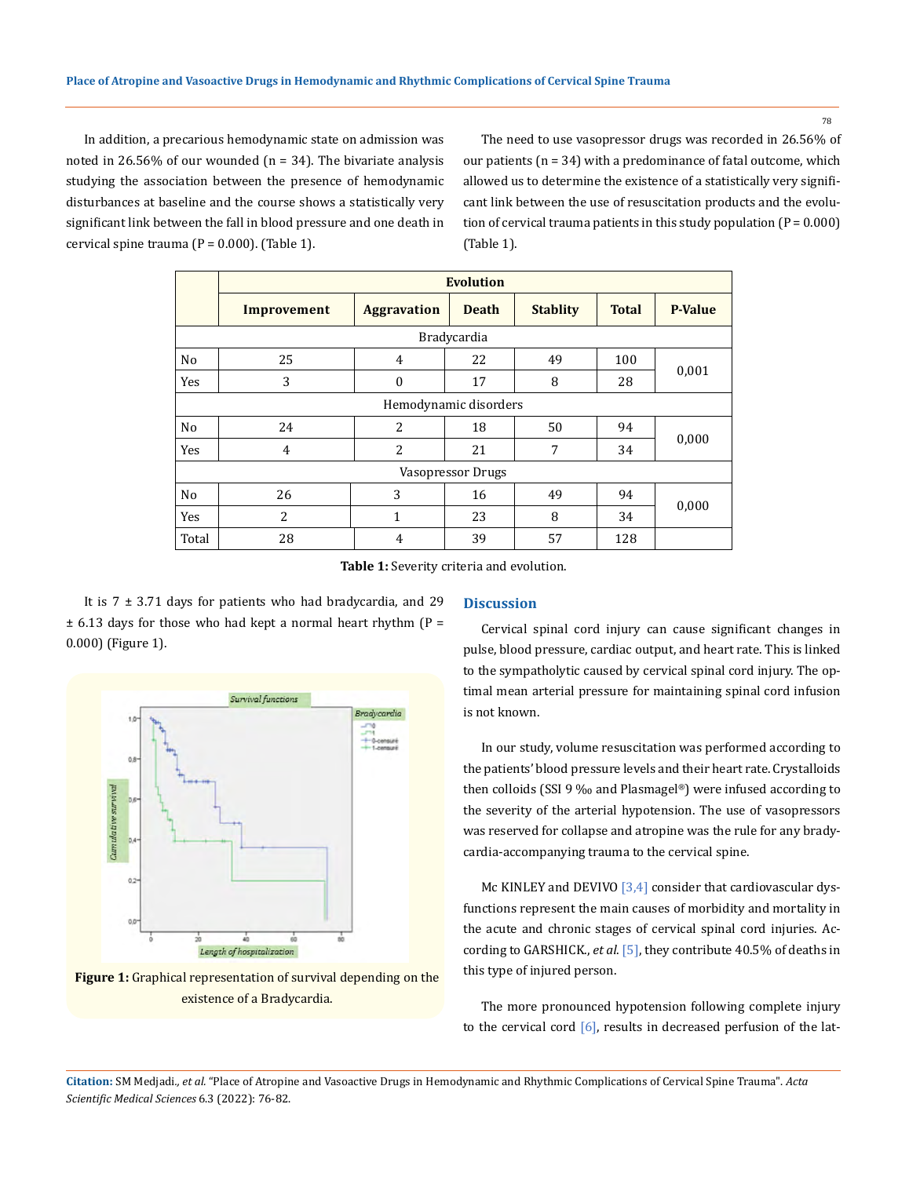In addition, a precarious hemodynamic state on admission was noted in 26.56% of our wounded  $(n = 34)$ . The bivariate analysis studying the association between the presence of hemodynamic disturbances at baseline and the course shows a statistically very significant link between the fall in blood pressure and one death in cervical spine trauma  $(P = 0.000)$ . (Table 1).

The need to use vasopressor drugs was recorded in 26.56% of our patients  $(n = 34)$  with a predominance of fatal outcome, which allowed us to determine the existence of a statistically very significant link between the use of resuscitation products and the evolution of cervical trauma patients in this study population  $(P = 0.000)$ (Table 1).

|                       | <b>Evolution</b> |                    |              |                 |              |                |
|-----------------------|------------------|--------------------|--------------|-----------------|--------------|----------------|
|                       | Improvement      | <b>Aggravation</b> | <b>Death</b> | <b>Stablity</b> | <b>Total</b> | <b>P-Value</b> |
| Bradycardia           |                  |                    |              |                 |              |                |
| N <sub>o</sub>        | 25               | 4                  | 22           | 49              | 100          | 0,001          |
| Yes                   | 3                | $\mathbf{0}$       | 17           | 8               | 28           |                |
| Hemodynamic disorders |                  |                    |              |                 |              |                |
| No                    | 24               | 2                  | 18           | 50              | 94           | 0,000          |
| Yes                   | 4                | 2                  | 21           | 7               | 34           |                |
| Vasopressor Drugs     |                  |                    |              |                 |              |                |
| N <sub>o</sub>        | 26               | 3                  | 16           | 49              | 94           | 0,000          |
| Yes                   | 2                | 1                  | 23           | 8               | 34           |                |
| Total                 | 28               | 4                  | 39           | 57              | 128          |                |

**Table 1:** Severity criteria and evolution.

It is  $7 \pm 3.71$  days for patients who had bradycardia, and 29  $\pm$  6.13 days for those who had kept a normal heart rhythm (P = 0.000) (Figure 1).



**Figure 1:** Graphical representation of survival depending on the existence of a Bradycardia.

#### **Discussion**

Cervical spinal cord injury can cause significant changes in pulse, blood pressure, cardiac output, and heart rate. This is linked to the sympatholytic caused by cervical spinal cord injury. The optimal mean arterial pressure for maintaining spinal cord infusion is not known.

In our study, volume resuscitation was performed according to the patients' blood pressure levels and their heart rate. Crystalloids then colloids (SSI 9 ‰ and Plasmagel®) were infused according to the severity of the arterial hypotension. The use of vasopressors was reserved for collapse and atropine was the rule for any bradycardia-accompanying trauma to the cervical spine.

Mc KINLEY and DEVIVO [3,4] consider that cardiovascular dysfunctions represent the main causes of morbidity and mortality in the acute and chronic stages of cervical spinal cord injuries. According to GARSHICK., *et al*. [5], they contribute 40.5% of deaths in this type of injured person.

The more pronounced hypotension following complete injury to the cervical cord  $[6]$ , results in decreased perfusion of the lat-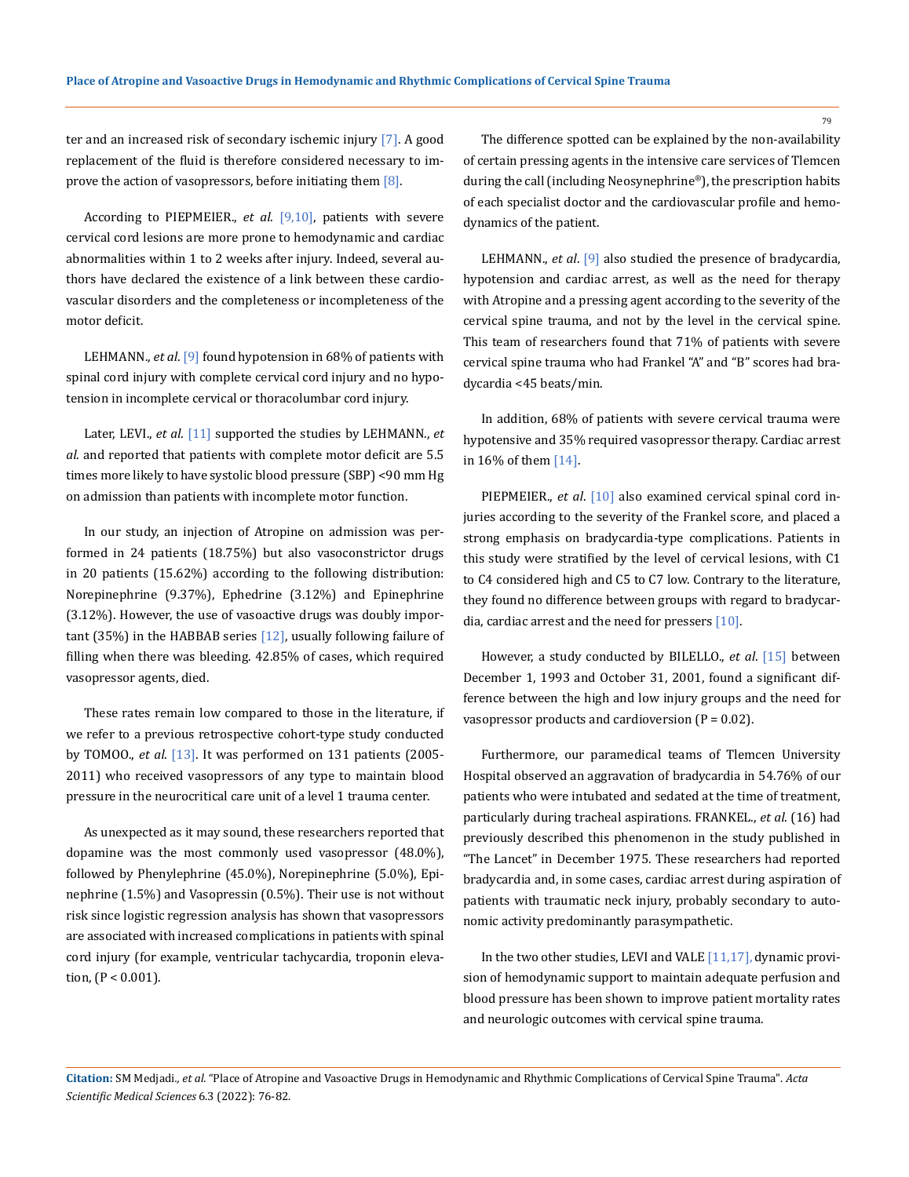ter and an increased risk of secondary ischemic injury [7]. A good replacement of the fluid is therefore considered necessary to improve the action of vasopressors, before initiating them  $[8]$ .

According to PIEPMEIER., *et al*. [9,10], patients with severe cervical cord lesions are more prone to hemodynamic and cardiac abnormalities within 1 to 2 weeks after injury. Indeed, several authors have declared the existence of a link between these cardiovascular disorders and the completeness or incompleteness of the motor deficit.

LEHMANN., *et al*. [9] found hypotension in 68% of patients with spinal cord injury with complete cervical cord injury and no hypotension in incomplete cervical or thoracolumbar cord injury.

Later, LEVI., *et al*. [11] supported the studies by LEHMANN., *et al*. and reported that patients with complete motor deficit are 5.5 times more likely to have systolic blood pressure (SBP) <90 mm Hg on admission than patients with incomplete motor function.

In our study, an injection of Atropine on admission was performed in 24 patients (18.75%) but also vasoconstrictor drugs in 20 patients (15.62%) according to the following distribution: Norepinephrine (9.37%), Ephedrine (3.12%) and Epinephrine (3.12%). However, the use of vasoactive drugs was doubly important (35%) in the HABBAB series  $[12]$ , usually following failure of filling when there was bleeding. 42.85% of cases, which required vasopressor agents, died.

These rates remain low compared to those in the literature, if we refer to a previous retrospective cohort-type study conducted by TOMOO., *et al*. [13]. It was performed on 131 patients (2005- 2011) who received vasopressors of any type to maintain blood pressure in the neurocritical care unit of a level 1 trauma center.

As unexpected as it may sound, these researchers reported that dopamine was the most commonly used vasopressor (48.0%), followed by Phenylephrine (45.0%), Norepinephrine (5.0%), Epinephrine (1.5%) and Vasopressin (0.5%). Their use is not without risk since logistic regression analysis has shown that vasopressors are associated with increased complications in patients with spinal cord injury (for example, ventricular tachycardia, troponin elevation, (P < 0.001).

The difference spotted can be explained by the non-availability of certain pressing agents in the intensive care services of Tlemcen during the call (including Neosynephrine®), the prescription habits of each specialist doctor and the cardiovascular profile and hemodynamics of the patient.

LEHMANN., *et al*. [9] also studied the presence of bradycardia, hypotension and cardiac arrest, as well as the need for therapy with Atropine and a pressing agent according to the severity of the cervical spine trauma, and not by the level in the cervical spine. This team of researchers found that 71% of patients with severe cervical spine trauma who had Frankel "A" and "B" scores had bradycardia <45 beats/min.

In addition, 68% of patients with severe cervical trauma were hypotensive and 35% required vasopressor therapy. Cardiac arrest in 16% of them [14].

PIEPMEIER., *et al*. [10] also examined cervical spinal cord injuries according to the severity of the Frankel score, and placed a strong emphasis on bradycardia-type complications. Patients in this study were stratified by the level of cervical lesions, with C1 to C4 considered high and C5 to C7 low. Contrary to the literature, they found no difference between groups with regard to bradycardia, cardiac arrest and the need for pressers [10].

However, a study conducted by BILELLO., *et al*. [15] between December 1, 1993 and October 31, 2001, found a significant difference between the high and low injury groups and the need for vasopressor products and cardioversion  $(P = 0.02)$ .

Furthermore, our paramedical teams of Tlemcen University Hospital observed an aggravation of bradycardia in 54.76% of our patients who were intubated and sedated at the time of treatment, particularly during tracheal aspirations. FRANKEL., *et al*. (16) had previously described this phenomenon in the study published in "The Lancet" in December 1975. These researchers had reported bradycardia and, in some cases, cardiac arrest during aspiration of patients with traumatic neck injury, probably secondary to autonomic activity predominantly parasympathetic.

In the two other studies, LEVI and VALE  $[11,17]$ , dynamic provision of hemodynamic support to maintain adequate perfusion and blood pressure has been shown to improve patient mortality rates and neurologic outcomes with cervical spine trauma.

**Citation:** SM Medjadi*., et al.* "Place of Atropine and Vasoactive Drugs in Hemodynamic and Rhythmic Complications of Cervical Spine Trauma". *Acta Scientific Medical Sciences* 6.3 (2022): 76-82.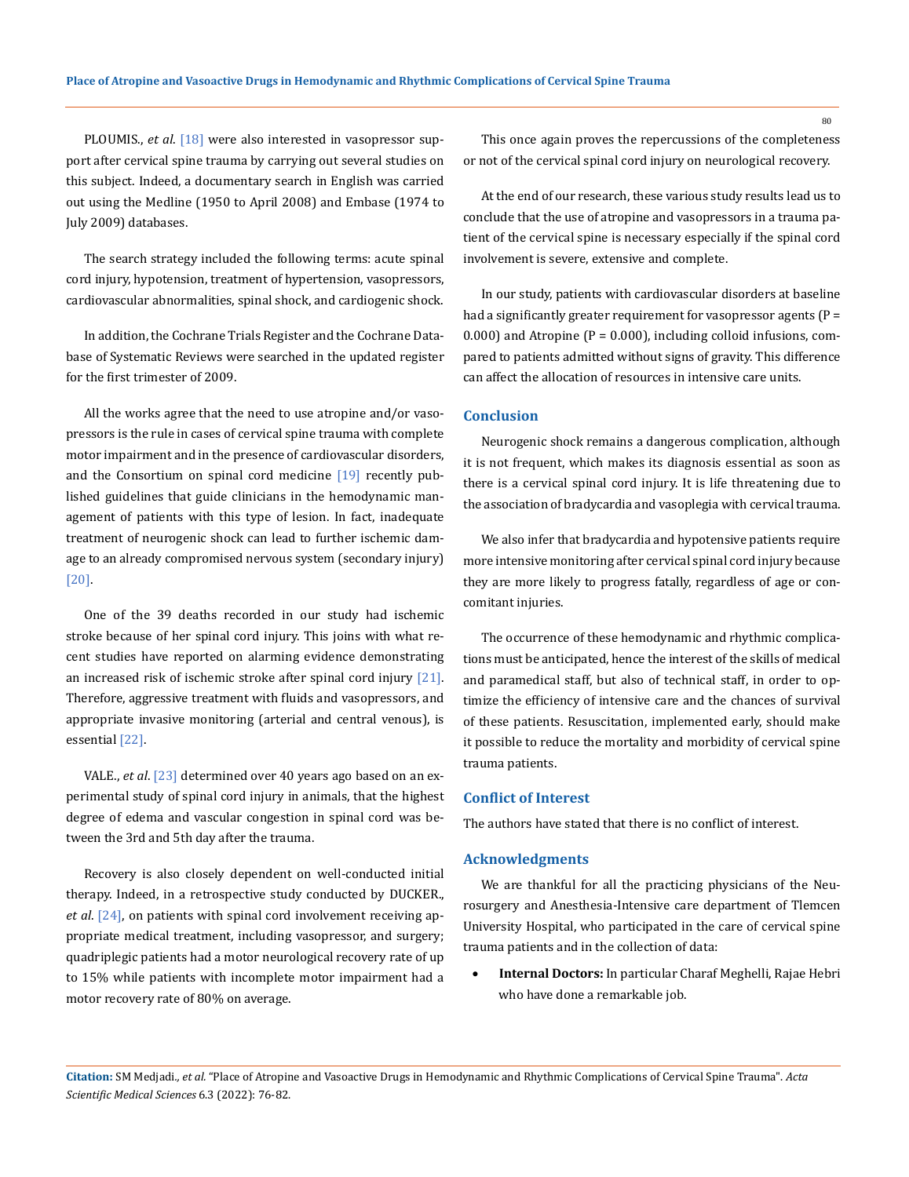PLOUMIS., *et al.* [18] were also interested in vasopressor support after cervical spine trauma by carrying out several studies on this subject. Indeed, a documentary search in English was carried out using the Medline (1950 to April 2008) and Embase (1974 to July 2009) databases.

The search strategy included the following terms: acute spinal cord injury, hypotension, treatment of hypertension, vasopressors, cardiovascular abnormalities, spinal shock, and cardiogenic shock.

In addition, the Cochrane Trials Register and the Cochrane Database of Systematic Reviews were searched in the updated register for the first trimester of 2009.

All the works agree that the need to use atropine and/or vasopressors is the rule in cases of cervical spine trauma with complete motor impairment and in the presence of cardiovascular disorders, and the Consortium on spinal cord medicine  $[19]$  recently published guidelines that guide clinicians in the hemodynamic management of patients with this type of lesion. In fact, inadequate treatment of neurogenic shock can lead to further ischemic damage to an already compromised nervous system (secondary injury) [20].

One of the 39 deaths recorded in our study had ischemic stroke because of her spinal cord injury. This joins with what recent studies have reported on alarming evidence demonstrating an increased risk of ischemic stroke after spinal cord injury [21]. Therefore, aggressive treatment with fluids and vasopressors, and appropriate invasive monitoring (arterial and central venous), is essential [22].

VALE., *et al*. [23] determined over 40 years ago based on an experimental study of spinal cord injury in animals, that the highest degree of edema and vascular congestion in spinal cord was between the 3rd and 5th day after the trauma.

Recovery is also closely dependent on well-conducted initial therapy. Indeed, in a retrospective study conducted by DUCKER., *et al*. [24], on patients with spinal cord involvement receiving appropriate medical treatment, including vasopressor, and surgery; quadriplegic patients had a motor neurological recovery rate of up to 15% while patients with incomplete motor impairment had a motor recovery rate of 80% on average.

This once again proves the repercussions of the completeness or not of the cervical spinal cord injury on neurological recovery.

At the end of our research, these various study results lead us to conclude that the use of atropine and vasopressors in a trauma patient of the cervical spine is necessary especially if the spinal cord involvement is severe, extensive and complete.

In our study, patients with cardiovascular disorders at baseline had a significantly greater requirement for vasopressor agents ( $P =$ 0.000) and Atropine ( $P = 0.000$ ), including colloid infusions, compared to patients admitted without signs of gravity. This difference can affect the allocation of resources in intensive care units.

#### **Conclusion**

Neurogenic shock remains a dangerous complication, although it is not frequent, which makes its diagnosis essential as soon as there is a cervical spinal cord injury. It is life threatening due to the association of bradycardia and vasoplegia with cervical trauma.

We also infer that bradycardia and hypotensive patients require more intensive monitoring after cervical spinal cord injury because they are more likely to progress fatally, regardless of age or concomitant injuries.

The occurrence of these hemodynamic and rhythmic complications must be anticipated, hence the interest of the skills of medical and paramedical staff, but also of technical staff, in order to optimize the efficiency of intensive care and the chances of survival of these patients. Resuscitation, implemented early, should make it possible to reduce the mortality and morbidity of cervical spine trauma patients.

#### **Conflict of Interest**

The authors have stated that there is no conflict of interest.

#### **Acknowledgments**

We are thankful for all the practicing physicians of the Neurosurgery and Anesthesia-Intensive care department of Tlemcen University Hospital, who participated in the care of cervical spine trauma patients and in the collection of data:

**Internal Doctors:** In particular Charaf Meghelli, Rajae Hebri who have done a remarkable job.

**Citation:** SM Medjadi*., et al.* "Place of Atropine and Vasoactive Drugs in Hemodynamic and Rhythmic Complications of Cervical Spine Trauma". *Acta Scientific Medical Sciences* 6.3 (2022): 76-82.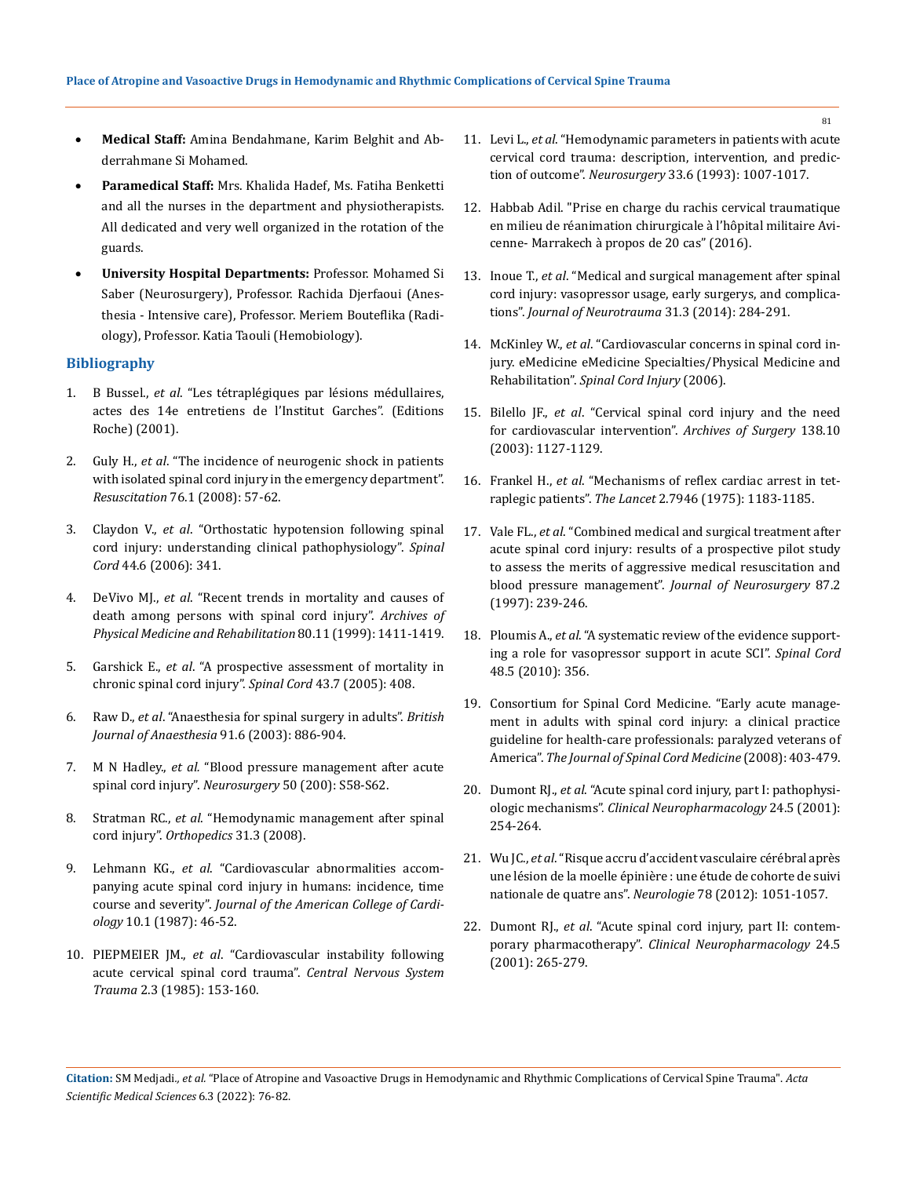- Medical Staff: Amina Bendahmane, Karim Belghit and Abderrahmane Si Mohamed.
- Paramedical Staff: Mrs. Khalida Hadef, Ms. Fatiha Benketti and all the nurses in the department and physiotherapists. All dedicated and very well organized in the rotation of the guards.
- **University Hospital Departments: Professor. Mohamed Si** Saber (Neurosurgery), Professor. Rachida Djerfaoui (Anesthesia - Intensive care), Professor. Meriem Bouteflika (Radiology), Professor. Katia Taouli (Hemobiology).

## **Bibliography**

- 1. B Bussel., *et al*. "Les tétraplégiques par lésions médullaires, actes des 14e entretiens de l'Institut Garches". (Editions Roche) (2001).
- 2. Guly H., *et al*[. "The incidence of neurogenic shock in patients](https://pubmed.ncbi.nlm.nih.gov/17688997/)  [with isolated spinal cord injury in the emergency department".](https://pubmed.ncbi.nlm.nih.gov/17688997/)  *Resuscitation* [76.1 \(2008\): 57-62.](https://pubmed.ncbi.nlm.nih.gov/17688997/)
- 3. Claydon V., *et al*[. "Orthostatic hypotension following spinal](https://pubmed.ncbi.nlm.nih.gov/16304564/)  [cord injury: understanding clinical pathophysiology".](https://pubmed.ncbi.nlm.nih.gov/16304564/) *Spinal Cord* [44.6 \(2006\): 341.](https://pubmed.ncbi.nlm.nih.gov/16304564/)
- 4. DeVivo MJ., *et al*[. "Recent trends in mortality and causes of](https://pubmed.ncbi.nlm.nih.gov/10569435/)  [death among persons with spinal cord injury".](https://pubmed.ncbi.nlm.nih.gov/10569435/) *Archives of [Physical Medicine and Rehabilitation](https://pubmed.ncbi.nlm.nih.gov/10569435/)* 80.11 (1999): 1411-1419.
- 5. Garshick E., *et al*[. "A prospective assessment of mortality in](https://pubmed.ncbi.nlm.nih.gov/15711609/)  [chronic spinal cord injury".](https://pubmed.ncbi.nlm.nih.gov/15711609/) *Spinal Cord* 43.7 (2005): 408.
- 6. Raw D., *et al*[. "Anaesthesia for spinal surgery in adults".](https://academic.oup.com/bja/article/91/6/886/283237) *British [Journal of Anaesthesia](https://academic.oup.com/bja/article/91/6/886/283237)* 91.6 (2003): 886-904.
- 7. M N Hadley., *et al.* ["Blood pressure management after acute](https://pubmed.ncbi.nlm.nih.gov/12431288/)  [spinal cord injury".](https://pubmed.ncbi.nlm.nih.gov/12431288/) *Neurosurgery* 50 (200): S58-S62.
- 8. Stratman RC., *et al*. "Hemodynamic management after spinal cord injury". *Orthopedics* 31.3 (2008).
- 9. Lehmann KG., *et al*. "Cardiovascular abnormalities accompanying acute spinal cord injury in humans: incidence, time course and severity". *Journal of the American College of Cardiology* 10.1 (1987): 46-52.
- 10. PIEPMEIER JM., *et al*[. "Cardiovascular instability following](https://pubmed.ncbi.nlm.nih.gov/3835007/)  [acute cervical spinal cord trauma".](https://pubmed.ncbi.nlm.nih.gov/3835007/) *Central Nervous System Trauma* [2.3 \(1985\): 153-160.](https://pubmed.ncbi.nlm.nih.gov/3835007/)
- 11. Levi L., *et al*[. "Hemodynamic parameters in patients with acute](https://pubmed.ncbi.nlm.nih.gov/8133985/)  [cervical cord trauma: description, intervention, and predic](https://pubmed.ncbi.nlm.nih.gov/8133985/)tion of outcome". *Neurosurgery* [33.6 \(1993\): 1007-1017.](https://pubmed.ncbi.nlm.nih.gov/8133985/)
- 12. Habbab Adil. "Prise en charge du rachis cervical traumatique en milieu de réanimation chirurgicale à l'hôpital militaire Avicenne- Marrakech à propos de 20 cas" (2016).
- 13. Inoue T., *et al*[. "Medical and surgical management after spinal](https://pubmed.ncbi.nlm.nih.gov/24020382/)  [cord injury: vasopressor usage, early surgerys, and complica](https://pubmed.ncbi.nlm.nih.gov/24020382/)tions". *[Journal of Neurotrauma](https://pubmed.ncbi.nlm.nih.gov/24020382/)* 31.3 (2014): 284-291.
- 14. McKinley W., *et al*[. "Cardiovascular concerns in spinal cord in](https://emedicine.medscape.com/article/321771-overview)[jury. eMedicine eMedicine Specialties/Physical Medicine and](https://emedicine.medscape.com/article/321771-overview)  Rehabilitation". *[Spinal Cord Injury](https://emedicine.medscape.com/article/321771-overview)* (2006).
- 15. Bilello JF., *et al*[. "Cervical spinal cord injury and the need](https://pubmed.ncbi.nlm.nih.gov/14557131/)  [for cardiovascular intervention".](https://pubmed.ncbi.nlm.nih.gov/14557131/) *Archives of Surgery* 138.10 [\(2003\): 1127-1129.](https://pubmed.ncbi.nlm.nih.gov/14557131/)
- 16. Frankel H., *et al*. "Mechanisms of reflex cardiac arrest in tetraplegic patients". *The Lancet* 2.7946 (1975): 1183-1185.
- 17. Vale FL., *et al*[. "Combined medical and surgical treatment after](https://pubmed.ncbi.nlm.nih.gov/9254087/)  [acute spinal cord injury: results of a prospective pilot study](https://pubmed.ncbi.nlm.nih.gov/9254087/)  [to assess the merits of aggressive medical resuscitation and](https://pubmed.ncbi.nlm.nih.gov/9254087/)  [blood pressure management".](https://pubmed.ncbi.nlm.nih.gov/9254087/) *Journal of Neurosurgery* 87.2 [\(1997\): 239-246.](https://pubmed.ncbi.nlm.nih.gov/9254087/)
- 18. Ploumis A., *et al*[. "A systematic review of the evidence support](https://pubmed.ncbi.nlm.nih.gov/19935758/)[ing a role for vasopressor support in acute SCI".](https://pubmed.ncbi.nlm.nih.gov/19935758/) *Spinal Cord* [48.5 \(2010\): 356.](https://pubmed.ncbi.nlm.nih.gov/19935758/)
- 19. [Consortium for Spinal Cord Medicine. "Early acute manage](https://www.ncbi.nlm.nih.gov/pmc/articles/PMC2582432/)[ment in adults with spinal cord injury: a clinical practice](https://www.ncbi.nlm.nih.gov/pmc/articles/PMC2582432/)  [guideline for health-care professionals: paralyzed veterans of](https://www.ncbi.nlm.nih.gov/pmc/articles/PMC2582432/)  America". *[The Journal of Spinal Cord Medicine](https://www.ncbi.nlm.nih.gov/pmc/articles/PMC2582432/)* (2008): 403-479.
- 20. Dumont RJ., *et al*[. "Acute spinal cord injury, part I: pathophysi](https://pubmed.ncbi.nlm.nih.gov/11586110/)ologic mechanisms". *[Clinical Neuropharmacology](https://pubmed.ncbi.nlm.nih.gov/11586110/)* 24.5 (2001): [254-264.](https://pubmed.ncbi.nlm.nih.gov/11586110/)
- 21. Wu JC., *et al*. "Risque accru d'accident vasculaire cérébral après une lésion de la moelle épinière : une étude de cohorte de suivi nationale de quatre ans". *Neurologie* 78 (2012): 1051-1057.
- 22. Dumont RJ., *et al*[. "Acute spinal cord injury, part II: contem](https://pubmed.ncbi.nlm.nih.gov/11586111/)porary pharmacotherapy". *[Clinical Neuropharmacology](https://pubmed.ncbi.nlm.nih.gov/11586111/)* 24.5 [\(2001\): 265-279.](https://pubmed.ncbi.nlm.nih.gov/11586111/)

**Citation:** SM Medjadi*., et al.* "Place of Atropine and Vasoactive Drugs in Hemodynamic and Rhythmic Complications of Cervical Spine Trauma". *Acta Scientific Medical Sciences* 6.3 (2022): 76-82.